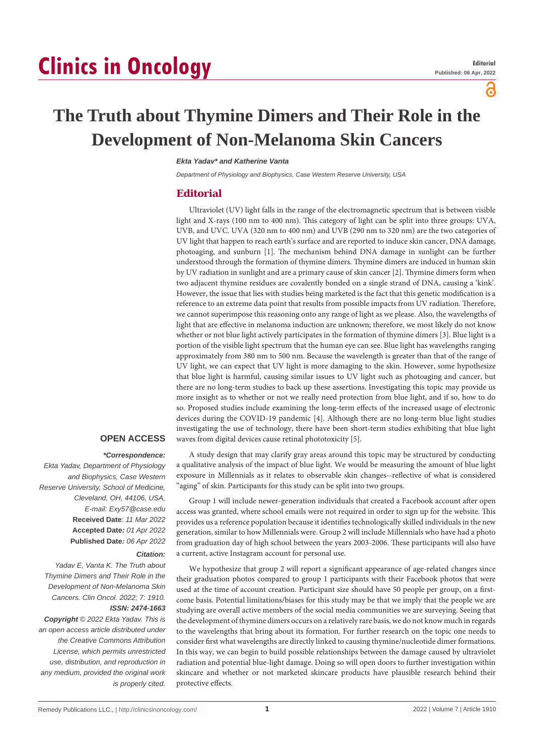# **Clinics in Oncology**

പ്പ

# **The Truth about Thymine Dimers and Their Role in the Development of Non-Melanoma Skin Cancers**

#### *Ekta Yadav\* and Katherine Vanta*

*Department of Physiology and Biophysics, Case Western Reserve University, USA*

## **Editorial**

Ultraviolet (UV) light falls in the range of the electromagnetic spectrum that is between visible light and X-rays (100 nm to 400 nm). This category of light can be split into three groups: UVA, UVB, and UVC. UVA (320 nm to 400 nm) and UVB (290 nm to 320 nm) are the two categories of UV light that happen to reach earth's surface and are reported to induce skin cancer, DNA damage, photoaging, and sunburn [1]. The mechanism behind DNA damage in sunlight can be further understood through the formation of thymine dimers. Thymine dimers are induced in human skin by UV radiation in sunlight and are a primary cause of skin cancer [2]. Thymine dimers form when two adjacent thymine residues are covalently bonded on a single strand of DNA, causing a 'kink'. However, the issue that lies with studies being marketed is the fact that this genetic modification is a reference to an extreme data point that results from possible impacts from UV radiation. Therefore, we cannot superimpose this reasoning onto any range of light as we please. Also, the wavelengths of light that are effective in melanoma induction are unknown; therefore, we most likely do not know whether or not blue light actively participates in the formation of thymine dimers [3]. Blue light is a portion of the visible light spectrum that the human eye can see. Blue light has wavelengths ranging approximately from 380 nm to 500 nm. Because the wavelength is greater than that of the range of UV light, we can expect that UV light is more damaging to the skin. However, some hypothesize that blue light is harmful, causing similar issues to UV light such as photoaging and cancer, but there are no long-term studies to back up these assertions. Investigating this topic may provide us more insight as to whether or not we really need protection from blue light, and if so, how to do so. Proposed studies include examining the long-term effects of the increased usage of electronic devices during the COVID-19 pandemic [4]. Although there are no long-term blue light studies investigating the use of technology, there have been short-term studies exhibiting that blue light waves from digital devices cause retinal phototoxicity [5].

### **OPEN ACCESS**

#### *\*Correspondence:*

*Ekta Yadav, Department of Physiology and Biophysics, Case Western Reserve University, School of Medicine, Cleveland, OH, 44106, USA, E-mail: Exy57@case.edu* **Received Date**: *11 Mar 2022* **Accepted Date***: 01 Apr 2022* **Published Date***: 06 Apr 2022*

#### *Citation:*

*Yadav E, Vanta K. The Truth about Thymine Dimers and Their Role in the Development of Non-Melanoma Skin Cancers. Clin Oncol. 2022; 7: 1910. ISSN: 2474-1663*

#### *Copyright © 2022 Ekta Yadav. This is an open access article distributed under the Creative Commons Attribution License, which permits unrestricted use, distribution, and reproduction in any medium, provided the original work is properly cited.*

A study design that may clarify gray areas around this topic may be structured by conducting a qualitative analysis of the impact of blue light. We would be measuring the amount of blue light exposure in Millennials as it relates to observable skin changes--reflective of what is considered "aging" of skin. Participants for this study can be split into two groups.

Group 1 will include newer-generation individuals that created a Facebook account after open access was granted, where school emails were not required in order to sign up for the website. This provides us a reference population because it identifies technologically skilled individuals in the new generation, similar to how Millennials were. Group 2 will include Millennials who have had a photo from graduation day of high school between the years 2003-2006. These participants will also have a current, active Instagram account for personal use.

We hypothesize that group 2 will report a significant appearance of age-related changes since their graduation photos compared to group 1 participants with their Facebook photos that were used at the time of account creation. Participant size should have 50 people per group, on a firstcome basis. Potential limitations/biases for this study may be that we imply that the people we are studying are overall active members of the social media communities we are surveying. Seeing that the development of thymine dimers occurs on a relatively rare basis, we do not know much in regards to the wavelengths that bring about its formation. For further research on the topic one needs to consider first what wavelengths are directly linked to causing thymine/nucleotide dimer formations. In this way, we can begin to build possible relationships between the damage caused by ultraviolet radiation and potential blue-light damage. Doing so will open doors to further investigation within skincare and whether or not marketed skincare products have plausible research behind their protective effects.